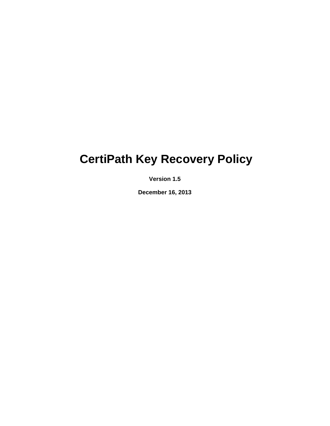# **CertiPath Key Recovery Policy**

**Version 1.5** 

**December 16, 2013**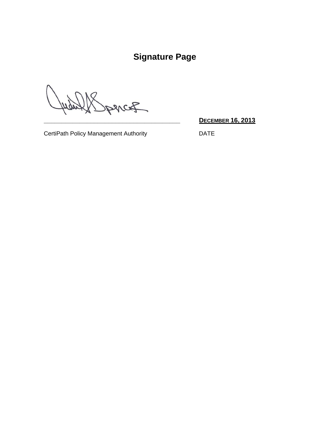# **Signature Page**

 $\overline{\mathcal{L}}$ 

**\_\_\_\_\_\_\_\_\_\_\_\_\_\_\_\_\_\_\_\_\_\_\_\_\_\_\_\_\_\_\_\_\_\_\_\_\_\_ DECEMBER 16, 2013**

CertiPath Policy Management Authority DATE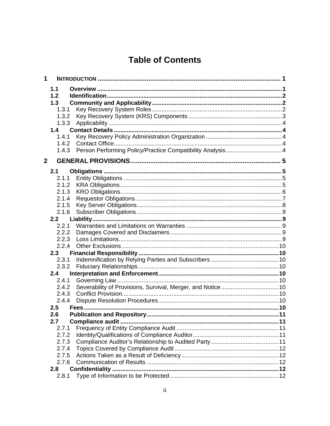# **Table of Contents**

| 1            |                |                                    |  |
|--------------|----------------|------------------------------------|--|
|              | 1.1            |                                    |  |
|              | 1.2            |                                    |  |
|              | 1.3            |                                    |  |
|              | 1.3.1          |                                    |  |
|              | 1.3.2          |                                    |  |
|              | 1.3.3          |                                    |  |
|              | 1.4            |                                    |  |
|              | 1.4.1          |                                    |  |
|              | 1.4.2          |                                    |  |
|              | 1.4.3          |                                    |  |
| $\mathbf{2}$ |                |                                    |  |
|              | 2.1            |                                    |  |
|              | 2.1.1          |                                    |  |
|              | 2.1.2          |                                    |  |
|              | 2.1.3          |                                    |  |
|              | 2.1.4          |                                    |  |
|              | 2.1.5          |                                    |  |
|              | 2.1.6          |                                    |  |
|              | 2.2            |                                    |  |
|              | 2.2.1          |                                    |  |
|              | 2.2.2          |                                    |  |
|              | 2.2.3          |                                    |  |
|              | 2.2.4          |                                    |  |
|              | 2.3            |                                    |  |
|              | 2.3.1          |                                    |  |
|              | 2.3.2          |                                    |  |
|              | 2.4            |                                    |  |
|              | 2.4.1<br>2.4.2 |                                    |  |
|              | 2.4.3          |                                    |  |
|              | 2.4.4          |                                    |  |
|              | 2.5            |                                    |  |
|              | 2.6            | <b>Publication and Repository.</b> |  |
|              | 2.7            |                                    |  |
|              | 2.7.1          |                                    |  |
|              | 2.7.2          |                                    |  |
|              | 2.7.3          |                                    |  |
|              | 2.7.4          |                                    |  |
|              | 2.7.5          |                                    |  |
|              | 2.7.6          |                                    |  |
|              | 2.8            |                                    |  |
|              | 2.8.1          |                                    |  |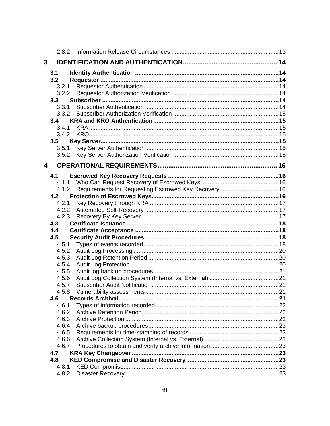| 3 |                |                          |  |
|---|----------------|--------------------------|--|
|   | 3.1            |                          |  |
|   | 3.2            |                          |  |
|   | 3.2.1          |                          |  |
|   | 3.2.2          |                          |  |
|   | 3.3            |                          |  |
|   | 3.3.1          |                          |  |
|   | 3.3.2          |                          |  |
|   | 3.4            |                          |  |
|   | 3.4.1          |                          |  |
|   |                |                          |  |
|   | 3.5            |                          |  |
|   |                |                          |  |
|   |                |                          |  |
| 4 |                |                          |  |
|   | 4.1            |                          |  |
|   | 4.1.1          |                          |  |
|   | 4.1.2          |                          |  |
|   | 4.2            |                          |  |
|   | 4.2.1          |                          |  |
|   |                |                          |  |
|   | 4.2.3          |                          |  |
|   | 4.3            |                          |  |
|   | 4.4            |                          |  |
|   | 4.5            |                          |  |
|   | 4.5.1          |                          |  |
|   | 4.5.2          |                          |  |
|   | 4.5.3          |                          |  |
|   | 4.5.4          |                          |  |
|   | 4.5.5          |                          |  |
|   | 4.5.6          |                          |  |
|   | 4.5.7          |                          |  |
|   | 4.5.8          |                          |  |
|   | 4.6            | <b>Records Archival.</b> |  |
|   | 4.6.1          |                          |  |
|   | 4.6.2          |                          |  |
|   | 4.6.3          |                          |  |
|   | 4.6.4<br>4.6.5 |                          |  |
|   | 4.6.6          |                          |  |
|   | 4.6.7          |                          |  |
|   | 4.7            |                          |  |
|   | 4.8            |                          |  |
|   | 4.8.1          |                          |  |
|   | 4.8.2          |                          |  |
|   |                |                          |  |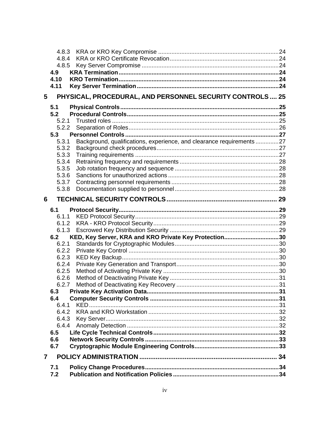|                | 4.8.3      |                                                                      |  |
|----------------|------------|----------------------------------------------------------------------|--|
|                | 4.8.4      |                                                                      |  |
|                | 4.8.5      |                                                                      |  |
|                | 4.9        |                                                                      |  |
|                | 4.10       |                                                                      |  |
|                | 4.11       |                                                                      |  |
| 5              |            | PHYSICAL, PROCEDURAL, AND PERSONNEL SECURITY CONTROLS  25            |  |
|                | 5.1        |                                                                      |  |
|                | 5.2        |                                                                      |  |
|                | 5.2.1      |                                                                      |  |
|                | 5.2.2      |                                                                      |  |
|                | 5.3        |                                                                      |  |
|                | 5.3.1      | Background, qualifications, experience, and clearance requirements27 |  |
|                | 5.3.2      |                                                                      |  |
|                | 5.3.3      |                                                                      |  |
|                | 5.3.4      |                                                                      |  |
|                | 5.3.5      |                                                                      |  |
|                | 5.3.6      |                                                                      |  |
|                | 5.3.7      |                                                                      |  |
|                | 5.3.8      |                                                                      |  |
| 6              |            |                                                                      |  |
|                | 6.1        |                                                                      |  |
|                | 6.1.1      |                                                                      |  |
|                | 6.1.2      |                                                                      |  |
|                | 6.1.3      |                                                                      |  |
|                | 6.2        | KED, Key Server, KRA and KRO Private Key Protection30                |  |
|                | 6.2.1      |                                                                      |  |
|                | 6.2.2      |                                                                      |  |
|                | 6.2.3      |                                                                      |  |
|                | 6.2.4      |                                                                      |  |
|                | 6.2.5      |                                                                      |  |
|                | 6.2.6      |                                                                      |  |
|                | 6.2.7      |                                                                      |  |
|                | 6.3        |                                                                      |  |
|                | 6.4        |                                                                      |  |
|                | 6.4.1      |                                                                      |  |
|                | 6.4.2      |                                                                      |  |
|                | 6.4.3      |                                                                      |  |
|                | 6.4.4      |                                                                      |  |
|                | 6.5        |                                                                      |  |
|                | 6.6<br>6.7 |                                                                      |  |
|                |            |                                                                      |  |
| $\overline{7}$ |            |                                                                      |  |
|                |            |                                                                      |  |
|                | 7.1<br>7.2 |                                                                      |  |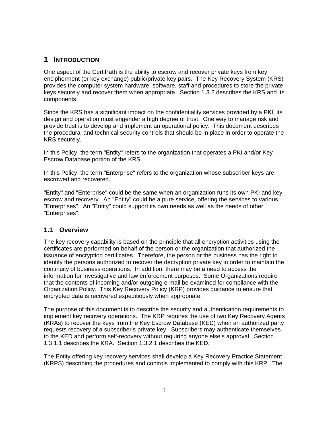# <span id="page-6-0"></span>**1 INTRODUCTION**

One aspect of the CertiPath is the ability to escrow and recover private keys from key encipherment (or key exchange) public/private key pairs. The Key Recovery System (KRS) provides the computer system hardware, software, staff and procedures to store the private keys securely and recover them when appropriate. Section [1.3.2](#page-8-1) describes the KRS and its components.

Since the KRS has a significant impact on the confidentiality services provided by a PKI, its design and operation must engender a high degree of trust. One way to manage risk and provide trust is to develop and implement an operational policy. This document describes the procedural and technical security controls that should be in place in order to operate the KRS securely.

In this Policy, the term "Entity" refers to the organization that operates a PKI and/or Key Escrow Database portion of the KRS.

In this Policy, the term "Enterprise" refers to the organization whose subscriber keys are escrowed and recovered.

"Entity" and "Enterprise" could be the same when an organization runs its own PKI and key escrow and recovery. An "Entity" could be a pure service, offering the services to various "Enterprises". An "Entity" could support its own needs as well as the needs of other "Enterprises".

# **1.1 Overview**

The key recovery capability is based on the principle that all encryption activities using the certificates are performed on behalf of the person or the organization that authorized the issuance of encryption certificates. Therefore, the person or the business has the right to identify the persons authorized to recover the decryption private key in order to maintain the continuity of business operations. In addition, there may be a need to access the information for investigative and law enforcement purposes. Some Organizations require that the contents of incoming and/or outgoing e-mail be examined for compliance with the Organization Policy. This Key Recovery Policy (KRP) provides guidance to ensure that encrypted data is recovered expeditiously when appropriate.

The purpose of this document is to describe the security and authentication requirements to implement key recovery operations. The KRP requires the use of two Key Recovery Agents (KRAs) to recover the keys from the Key Escrow Database (KED) when an authorized party requests recovery of a subscriber's private key. Subscribers may authenticate themselves to the KED and perform self-recovery without requiring anyone else's approval. Section [1.3.1.1](#page-7-1) describes the KRA. Section [1.3.2.1](#page-8-2) describes the KED.

The Entity offering key recovery services shall develop a Key Recovery Practice Statement (KRPS) describing the procedures and controls implemented to comply with this KRP. The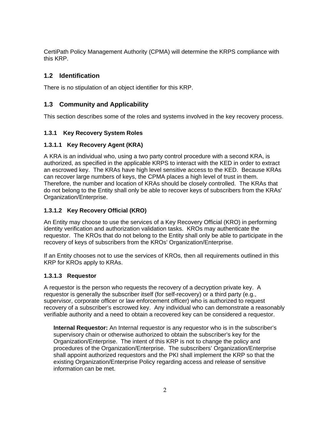<span id="page-7-0"></span>CertiPath Policy Management Authority (CPMA) will determine the KRPS compliance with this KRP.

# **1.2 Identification**

There is no stipulation of an object identifier for this KRP.

# **1.3 Community and Applicability**

This section describes some of the roles and systems involved in the key recovery process.

#### **1.3.1 Key Recovery System Roles**

#### <span id="page-7-1"></span>**1.3.1.1 Key Recovery Agent (KRA)**

A KRA is an individual who, using a two party control procedure with a second KRA, is authorized, as specified in the applicable KRPS to interact with the KED in order to extract an escrowed key. The KRAs have high level sensitive access to the KED. Because KRAs can recover large numbers of keys, the CPMA places a high level of trust in them. Therefore, the number and location of KRAs should be closely controlled. The KRAs that do not belong to the Entity shall only be able to recover keys of subscribers from the KRAs' Organization/Enterprise.

#### **1.3.1.2 Key Recovery Official (KRO)**

An Entity may choose to use the services of a Key Recovery Official (KRO) in performing identity verification and authorization validation tasks. KROs may authenticate the requestor. The KROs that do not belong to the Entity shall only be able to participate in the recovery of keys of subscribers from the KROs' Organization/Enterprise.

If an Entity chooses not to use the services of KROs, then all requirements outlined in this KRP for KROs apply to KRAs.

#### **1.3.1.3 Requestor**

A requestor is the person who requests the recovery of a decryption private key. A requestor is generally the subscriber itself (for self-recovery) or a third party (e.g., supervisor, corporate officer or law enforcement officer) who is authorized to request recovery of a subscriber's escrowed key. Any individual who can demonstrate a reasonably verifiable authority and a need to obtain a recovered key can be considered a requestor.

**Internal Requestor:** An Internal requestor is any requestor who is in the subscriber's supervisory chain or otherwise authorized to obtain the subscriber's key for the Organization/Enterprise. The intent of this KRP is not to change the policy and procedures of the Organization/Enterprise. The subscribers' Organization/Enterprise shall appoint authorized requestors and the PKI shall implement the KRP so that the existing Organization/Enterprise Policy regarding access and release of sensitive information can be met.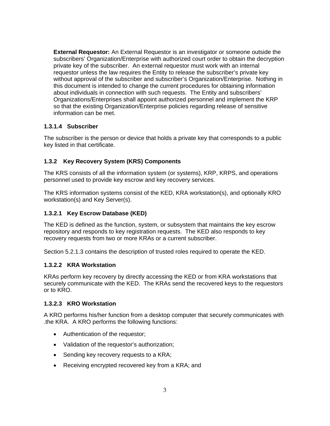<span id="page-8-0"></span>**External Requestor:** An External Requestor is an investigator or someone outside the subscribers' Organization/Enterprise with authorized court order to obtain the decryption private key of the subscriber. An external requestor must work with an internal requestor unless the law requires the Entity to release the subscriber's private key without approval of the subscriber and subscriber's Organization/Enterprise. Nothing in this document is intended to change the current procedures for obtaining information about individuals in connection with such requests. The Entity and subscribers' Organizations/Enterprises shall appoint authorized personnel and implement the KRP so that the existing Organization/Enterprise policies regarding release of sensitive information can be met.

#### **1.3.1.4 Subscriber**

The subscriber is the person or device that holds a private key that corresponds to a public key listed in that certificate.

# <span id="page-8-1"></span>**1.3.2 Key Recovery System (KRS) Components**

The KRS consists of all the information system (or systems), KRP, KRPS, and operations personnel used to provide key escrow and key recovery services.

The KRS information systems consist of the KED, KRA workstation(s), and optionally KRO workstation(s) and Key Server(s).

#### <span id="page-8-2"></span>**1.3.2.1 Key Escrow Database (KED)**

The KED is defined as the function, system, or subsystem that maintains the key escrow repository and responds to key registration requests. The KED also responds to key recovery requests from two or more KRAs or a current subscriber.

Section [5.2.1.3](#page-31-1) contains the description of trusted roles required to operate the KED.

#### **1.3.2.2 KRA Workstation**

KRAs perform key recovery by directly accessing the KED or from KRA workstations that securely communicate with the KED. The KRAs send the recovered keys to the requestors or to KRO.

#### **1.3.2.3 KRO Workstation**

A KRO performs his/her function from a desktop computer that securely communicates with .the KRA. A KRO performs the following functions:

- Authentication of the requestor;
- Validation of the requestor's authorization;
- Sending key recovery requests to a KRA;
- Receiving encrypted recovered key from a KRA; and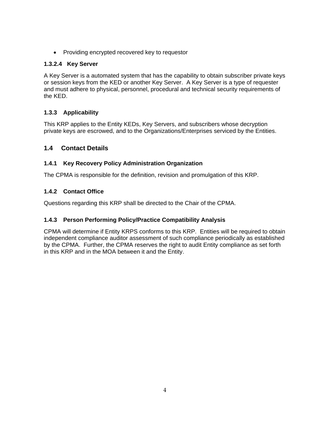<span id="page-9-0"></span>• Providing encrypted recovered key to requestor

#### **1.3.2.4 Key Server**

A Key Server is a automated system that has the capability to obtain subscriber private keys or session keys from the KED or another Key Server. A Key Server is a type of requester and must adhere to physical, personnel, procedural and technical security requirements of the KED.

# **1.3.3 Applicability**

This KRP applies to the Entity KEDs, Key Servers, and subscribers whose decryption private keys are escrowed, and to the Organizations/Enterprises serviced by the Entities.

# **1.4 Contact Details**

#### **1.4.1 Key Recovery Policy Administration Organization**

The CPMA is responsible for the definition, revision and promulgation of this KRP.

# **1.4.2 Contact Office**

Questions regarding this KRP shall be directed to the Chair of the CPMA.

# **1.4.3 Person Performing Policy/Practice Compatibility Analysis**

CPMA will determine if Entity KRPS conforms to this KRP. Entities will be required to obtain independent compliance auditor assessment of such compliance periodically as established by the CPMA. Further, the CPMA reserves the right to audit Entity compliance as set forth in this KRP and in the MOA between it and the Entity.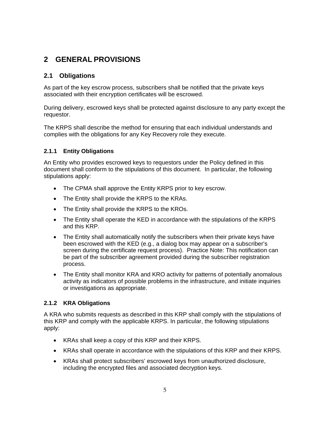# <span id="page-10-0"></span>**2 GENERAL PROVISIONS**

# **2.1 Obligations**

As part of the key escrow process, subscribers shall be notified that the private keys associated with their encryption certificates will be escrowed.

During delivery, escrowed keys shall be protected against disclosure to any party except the requestor.

The KRPS shall describe the method for ensuring that each individual understands and complies with the obligations for any Key Recovery role they execute.

#### **2.1.1 Entity Obligations**

An Entity who provides escrowed keys to requestors under the Policy defined in this document shall conform to the stipulations of this document. In particular, the following stipulations apply:

- The CPMA shall approve the Entity KRPS prior to key escrow.
- The Entity shall provide the KRPS to the KRAs.
- The Entity shall provide the KRPS to the KROs.
- The Entity shall operate the KED in accordance with the stipulations of the KRPS and this KRP.
- The Entity shall automatically notify the subscribers when their private keys have been escrowed with the KED (e.g., a dialog box may appear on a subscriber's screen during the certificate request process). Practice Note: This notification can be part of the subscriber agreement provided during the subscriber registration process.
- The Entity shall monitor KRA and KRO activity for patterns of potentially anomalous activity as indicators of possible problems in the infrastructure, and initiate inquiries or investigations as appropriate.

#### **2.1.2 KRA Obligations**

A KRA who submits requests as described in this KRP shall comply with the stipulations of this KRP and comply with the applicable KRPS. In particular, the following stipulations apply:

- KRAs shall keep a copy of this KRP and their KRPS.
- KRAs shall operate in accordance with the stipulations of this KRP and their KRPS.
- KRAs shall protect subscribers' escrowed keys from unauthorized disclosure, including the encrypted files and associated decryption keys.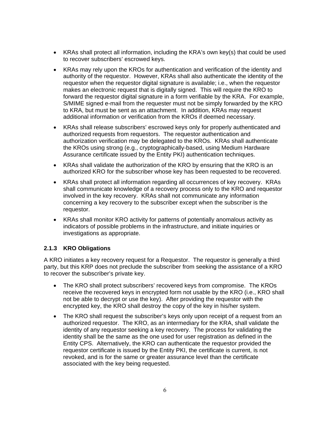- <span id="page-11-0"></span>• KRAs shall protect all information, including the KRA's own key(s) that could be used to recover subscribers' escrowed keys.
- KRAs may rely upon the KROs for authentication and verification of the identity and authority of the requestor. However, KRAs shall also authenticate the identity of the requestor when the requestor digital signature is available; i.e., when the requestor makes an electronic request that is digitally signed. This will require the KRO to forward the requestor digital signature in a form verifiable by the KRA. For example, S/MIME signed e-mail from the requester must not be simply forwarded by the KRO to KRA, but must be sent as an attachment. In addition, KRAs may request additional information or verification from the KROs if deemed necessary.
- KRAs shall release subscribers' escrowed keys only for properly authenticated and authorized requests from requestors. The requestor authentication and authorization verification may be delegated to the KROs. KRAs shall authenticate the KROs using strong (e.g., cryptographically-based, using Medium Hardware Assurance certificate issued by the Entity PKI) authentication techniques.
- KRAs shall validate the authorization of the KRO by ensuring that the KRO is an authorized KRO for the subscriber whose key has been requested to be recovered.
- KRAs shall protect all information regarding all occurrences of key recovery. KRAs shall communicate knowledge of a recovery process only to the KRO and requestor involved in the key recovery. KRAs shall not communicate any information concerning a key recovery to the subscriber except when the subscriber is the requestor.
- KRAs shall monitor KRO activity for patterns of potentially anomalous activity as indicators of possible problems in the infrastructure, and initiate inquiries or investigations as appropriate.

#### **2.1.3 KRO Obligations**

A KRO initiates a key recovery request for a Requestor. The requestor is generally a third party, but this KRP does not preclude the subscriber from seeking the assistance of a KRO to recover the subscriber's private key.

- The KRO shall protect subscribers' recovered keys from compromise. The KROs receive the recovered keys in encrypted form not usable by the KRO (i.e., KRO shall not be able to decrypt or use the key). After providing the requestor with the encrypted key, the KRO shall destroy the copy of the key in his/her system.
- The KRO shall request the subscriber's keys only upon receipt of a request from an authorized requestor. The KRO, as an intermediary for the KRA, shall validate the identity of any requestor seeking a key recovery. The process for validating the identity shall be the same as the one used for user registration as defined in the Entity CPS. Alternatively, the KRO can authenticate the requestor provided the requestor certificate is issued by the Entity PKI, the certificate is current, is not revoked, and is for the same or greater assurance level than the certificate associated with the key being requested.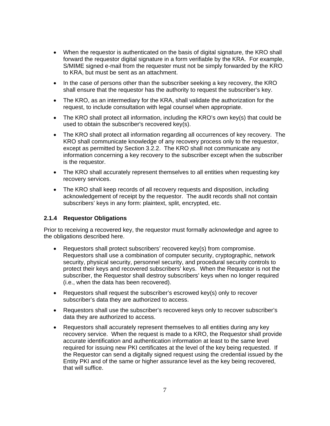- <span id="page-12-0"></span>• When the requestor is authenticated on the basis of digital signature, the KRO shall forward the requestor digital signature in a form verifiable by the KRA. For example, S/MIME signed e-mail from the requester must not be simply forwarded by the KRO to KRA, but must be sent as an attachment.
- In the case of persons other than the subscriber seeking a key recovery, the KRO shall ensure that the requestor has the authority to request the subscriber's key.
- The KRO, as an intermediary for the KRA, shall validate the authorization for the request, to include consultation with legal counsel when appropriate.
- The KRO shall protect all information, including the KRO's own key(s) that could be used to obtain the subscriber's recovered key(s).
- The KRO shall protect all information regarding all occurrences of key recovery. The KRO shall communicate knowledge of any recovery process only to the requestor, except as permitted by Section [3.2.2](#page-19-1). The KRO shall not communicate any information concerning a key recovery to the subscriber except when the subscriber is the requestor.
- The KRO shall accurately represent themselves to all entities when requesting key recovery services.
- The KRO shall keep records of all recovery requests and disposition, including acknowledgement of receipt by the requestor. The audit records shall not contain subscribers' keys in any form: plaintext, split, encrypted, etc.

#### **2.1.4 Requestor Obligations**

Prior to receiving a recovered key, the requestor must formally acknowledge and agree to the obligations described here.

- Requestors shall protect subscribers' recovered key(s) from compromise. Requestors shall use a combination of computer security, cryptographic, network security, physical security, personnel security, and procedural security controls to protect their keys and recovered subscribers' keys. When the Requestor is not the subscriber, the Requestor shall destroy subscribers' keys when no longer required (i.e., when the data has been recovered).
- Requestors shall request the subscriber's escrowed key(s) only to recover subscriber's data they are authorized to access.
- Requestors shall use the subscriber's recovered keys only to recover subscriber's data they are authorized to access.
- Requestors shall accurately represent themselves to all entities during any key recovery service. When the request is made to a KRO, the Requestor shall provide accurate identification and authentication information at least to the same level required for issuing new PKI certificates at the level of the key being requested. If the Requestor can send a digitally signed request using the credential issued by the Entity PKI and of the same or higher assurance level as the key being recovered, that will suffice.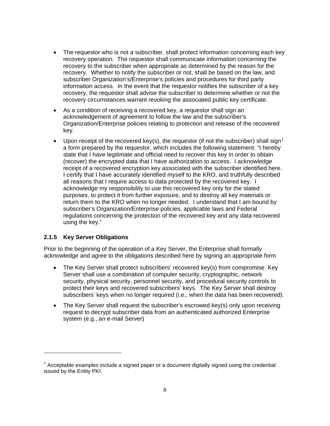- <span id="page-13-0"></span>• The requestor who is not a subscriber, shall protect information concerning each key recovery operation. The requestor shall communicate information concerning the recovery to the subscriber when appropriate as determined by the reason for the recovery. Whether to notify the subscriber or not, shall be based on the law, and subscriber Organization's/Enterprise's policies and procedures for third party information access. In the event that the requestor notifies the subscriber of a key recovery, the requestor shall advise the subscriber to determine whether or not the recovery circumstances warrant revoking the associated public key certificate.
- As a condition of receiving a recovered key, a requestor shall sign an acknowledgement of agreement to follow the law and the subscriber's Organization/Enterprise policies relating to protection and release of the recovered key.
- Upon receipt of the recovered key(s), the requestor (if not the subscriber) shall sign<sup>[1](#page-13-1)</sup> a form prepared by the requestor, which includes the following statement: "I hereby state that I have legitimate and official need to recover this key in order to obtain (recover) the encrypted data that I have authorization to access. I acknowledge receipt of a recovered encryption key associated with the subscriber identified here. I certify that I have accurately identified myself to the KRO, and truthfully described all reasons that I require access to data protected by the recovered key. I acknowledge my responsibility to use this recovered key only for the stated purposes, to protect it from further exposure, and to destroy all key materials or return them to the KRO when no longer needed. I understand that I am bound by subscriber's Organization/Enterprise policies, applicable laws and Federal regulations concerning the protection of the recovered key and any data recovered using the key."

#### **2.1.5 Key Server Obligations**

-

Prior to the beginning of the operation of a Key Server, the Enterprise shall formally acknowledge and agree to the obligations described here by signing an appropriate form

- The Key Server shall protect subscribers' recovered key(s) from compromise. Key Server shall use a combination of computer security, cryptographic, network security, physical security, personnel security, and procedural security controls to protect their keys and recovered subscribers' keys. The Key Server shall destroy subscribers' keys when no longer required (i.e., when the data has been recovered).
- The Key Server shall request the subscriber's escrowed key(s) only upon receiving request to decrypt subscriber data from an authenticated authorized Enterprise system (e.g., an e-mail Server)

<span id="page-13-1"></span> $1$  Acceptable examples include a signed paper or a document digitally signed using the credential issued by the Entity PKI.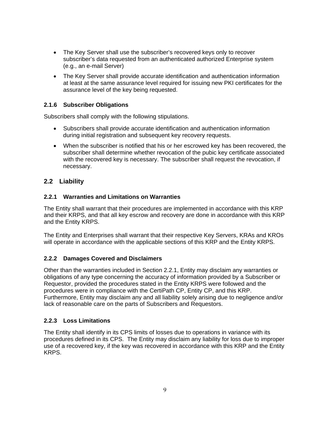- <span id="page-14-0"></span>• The Key Server shall use the subscriber's recovered keys only to recover subscriber's data requested from an authenticated authorized Enterprise system (e.g., an e-mail Server)
- The Key Server shall provide accurate identification and authentication information at least at the same assurance level required for issuing new PKI certificates for the assurance level of the key being requested.

#### **2.1.6 Subscriber Obligations**

Subscribers shall comply with the following stipulations.

- Subscribers shall provide accurate identification and authentication information during initial registration and subsequent key recovery requests.
- When the subscriber is notified that his or her escrowed key has been recovered, the subscriber shall determine whether revocation of the pubic key certificate associated with the recovered key is necessary. The subscriber shall request the revocation, if necessary.

#### **2.2 Liability**

#### <span id="page-14-1"></span>**2.2.1 Warranties and Limitations on Warranties**

The Entity shall warrant that their procedures are implemented in accordance with this KRP and their KRPS, and that all key escrow and recovery are done in accordance with this KRP and the Entity KRPS.

The Entity and Enterprises shall warrant that their respective Key Servers, KRAs and KROs will operate in accordance with the applicable sections of this KRP and the Entity KRPS.

#### **2.2.2 Damages Covered and Disclaimers**

Other than the warranties included in Section [2.2.1,](#page-14-1) Entity may disclaim any warranties or obligations of any type concerning the accuracy of information provided by a Subscriber or Requestor, provided the procedures stated in the Entity KRPS were followed and the procedures were in compliance with the CertiPath CP, Entity CP, and this KRP. Furthermore, Entity may disclaim any and all liability solely arising due to negligence and/or lack of reasonable care on the parts of Subscribers and Requestors.

#### **2.2.3 Loss Limitations**

The Entity shall identify in its CPS limits of losses due to operations in variance with its procedures defined in its CPS. The Entity may disclaim any liability for loss due to improper use of a recovered key, if the key was recovered in accordance with this KRP and the Entity KRPS.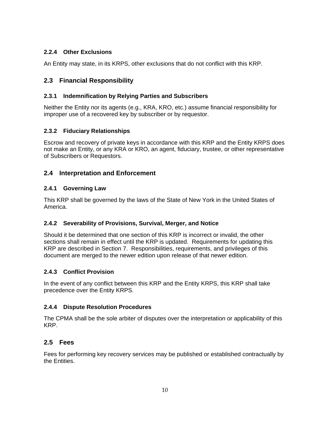# <span id="page-15-0"></span>**2.2.4 Other Exclusions**

An Entity may state, in its KRPS, other exclusions that do not conflict with this KRP.

# **2.3 Financial Responsibility**

#### **2.3.1 Indemnification by Relying Parties and Subscribers**

Neither the Entity nor its agents (e.g., KRA, KRO, etc.) assume financial responsibility for improper use of a recovered key by subscriber or by requestor.

#### **2.3.2 Fiduciary Relationships**

Escrow and recovery of private keys in accordance with this KRP and the Entity KRPS does not make an Entity, or any KRA or KRO, an agent, fiduciary, trustee, or other representative of Subscribers or Requestors.

# **2.4 Interpretation and Enforcement**

#### **2.4.1 Governing Law**

This KRP shall be governed by the laws of the State of New York in the United States of America.

# **2.4.2 Severability of Provisions, Survival, Merger, and Notice**

Should it be determined that one section of this KRP is incorrect or invalid, the other sections shall remain in effect until the KRP is updated. Requirements for updating this KRP are described in Section [7](#page-39-1). Responsibilities, requirements, and privileges of this document are merged to the newer edition upon release of that newer edition.

# **2.4.3 Conflict Provision**

In the event of any conflict between this KRP and the Entity KRPS, this KRP shall take precedence over the Entity KRPS.

#### **2.4.4 Dispute Resolution Procedures**

The CPMA shall be the sole arbiter of disputes over the interpretation or applicability of this KRP.

# **2.5 Fees**

Fees for performing key recovery services may be published or established contractually by the Entities.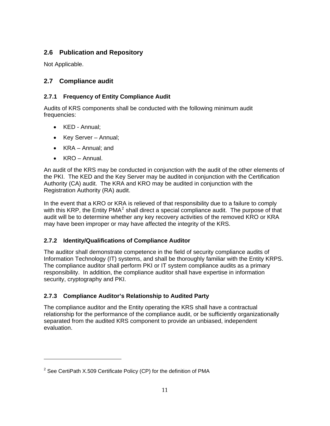# <span id="page-16-0"></span>**2.6 Publication and Repository**

Not Applicable.

# **2.7 Compliance audit**

# **2.7.1 Frequency of Entity Compliance Audit**

Audits of KRS components shall be conducted with the following minimum audit frequencies:

- KED Annual;
- Key Server Annual;
- KRA Annual; and
- KRO Annual.

-

An audit of the KRS may be conducted in conjunction with the audit of the other elements of the PKI. The KED and the Key Server may be audited in conjunction with the Certification Authority (CA) audit. The KRA and KRO may be audited in conjunction with the Registration Authority (RA) audit.

In the event that a KRO or KRA is relieved of that responsibility due to a failure to comply with this KRP, the Entity PMA<sup>[2](#page-16-1)</sup> shall direct a special compliance audit. The purpose of that audit will be to determine whether any key recovery activities of the removed KRO or KRA may have been improper or may have affected the integrity of the KRS.

# **2.7.2 Identity/Qualifications of Compliance Auditor**

The auditor shall demonstrate competence in the field of security compliance audits of Information Technology (IT) systems, and shall be thoroughly familiar with the Entity KRPS. The compliance auditor shall perform PKI or IT system compliance audits as a primary responsibility. In addition, the compliance auditor shall have expertise in information security, cryptography and PKI.

# **2.7.3 Compliance Auditor's Relationship to Audited Party**

The compliance auditor and the Entity operating the KRS shall have a contractual relationship for the performance of the compliance audit, or be sufficiently organizationally separated from the audited KRS component to provide an unbiased, independent evaluation.

<span id="page-16-1"></span><sup>&</sup>lt;sup>2</sup> See CertiPath X.509 Certificate Policy (CP) for the definition of PMA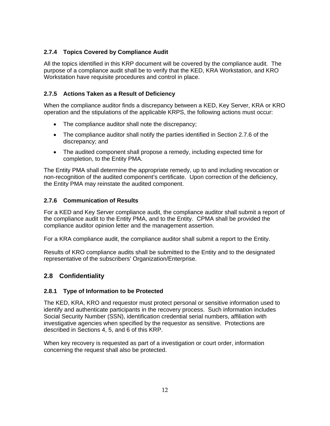# <span id="page-17-0"></span>**2.7.4 Topics Covered by Compliance Audit**

All the topics identified in this KRP document will be covered by the compliance audit. The purpose of a compliance audit shall be to verify that the KED, KRA Workstation, and KRO Workstation have requisite procedures and control in place.

# **2.7.5 Actions Taken as a Result of Deficiency**

When the compliance auditor finds a discrepancy between a KED, Key Server, KRA or KRO operation and the stipulations of the applicable KRPS, the following actions must occur:

- The compliance auditor shall note the discrepancy;
- The compliance auditor shall notify the parties identified in Section [2.7.6](#page-17-1) of the discrepancy; and
- The audited component shall propose a remedy, including expected time for completion, to the Entity PMA.

The Entity PMA shall determine the appropriate remedy, up to and including revocation or non-recognition of the audited component's certificate. Upon correction of the deficiency, the Entity PMA may reinstate the audited component.

# <span id="page-17-1"></span>**2.7.6 Communication of Results**

For a KED and Key Server compliance audit, the compliance auditor shall submit a report of the compliance audit to the Entity PMA, and to the Entity. CPMA shall be provided the compliance auditor opinion letter and the management assertion.

For a KRA compliance audit, the compliance auditor shall submit a report to the Entity.

Results of KRO compliance audits shall be submitted to the Entity and to the designated representative of the subscribers' Organization/Enterprise.

# <span id="page-17-2"></span>**2.8 Confidentiality**

# **2.8.1 Type of Information to be Protected**

The KED, KRA, KRO and requestor must protect personal or sensitive information used to identify and authenticate participants in the recovery process. Such information includes Social Security Number (SSN), identification credential serial numbers, affiliation with investigative agencies when specified by the requestor as sensitive. Protections are described in Sections 4, 5, and 6 of this KRP.

When key recovery is requested as part of a investigation or court order, information concerning the request shall also be protected.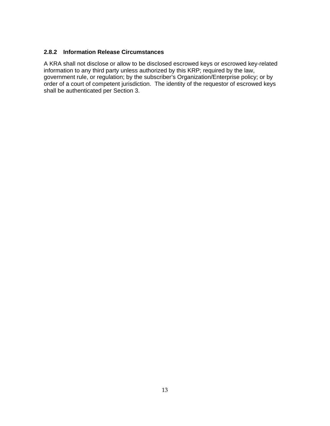#### <span id="page-18-0"></span>**2.8.2 Information Release Circumstances**

A KRA shall not disclose or allow to be disclosed escrowed keys or escrowed key-related information to any third party unless authorized by this KRP; required by the law, government rule, or regulation; by the subscriber's Organization/Enterprise policy; or by order of a court of competent jurisdiction. The identity of the requestor of escrowed keys shall be authenticated per Section [3](#page-19-2).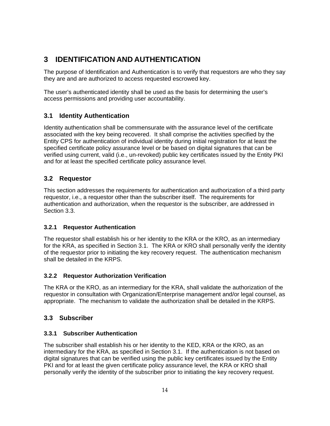# <span id="page-19-2"></span><span id="page-19-0"></span>**3 IDENTIFICATION AND AUTHENTICATION**

The purpose of Identification and Authentication is to verify that requestors are who they say they are and are authorized to access requested escrowed key.

The user's authenticated identity shall be used as the basis for determining the user's access permissions and providing user accountability.

# <span id="page-19-4"></span>**3.1 Identity Authentication**

Identity authentication shall be commensurate with the assurance level of the certificate associated with the key being recovered. It shall comprise the activities specified by the Entity CPS for authentication of individual identity during initial registration for at least the specified certificate policy assurance level or be based on digital signatures that can be verified using current, valid (i.e., un-revoked) public key certificates issued by the Entity PKI and for at least the specified certificate policy assurance level.

# **3.2 Requestor**

This section addresses the requirements for authentication and authorization of a third party requestor, i.e., a requestor other than the subscriber itself. The requirements for authentication and authorization, when the requestor is the subscriber, are addressed in Section [3.3](#page-19-3).

# **3.2.1 Requestor Authentication**

The requestor shall establish his or her identity to the KRA or the KRO, as an intermediary for the KRA, as specified in Section [3.1](#page-19-4). The KRA or KRO shall personally verify the identity of the requestor prior to initiating the key recovery request. The authentication mechanism shall be detailed in the KRPS.

#### <span id="page-19-1"></span>**3.2.2 Requestor Authorization Verification**

The KRA or the KRO, as an intermediary for the KRA, shall validate the authorization of the requestor in consultation with Organization/Enterprise management and/or legal counsel, as appropriate. The mechanism to validate the authorization shall be detailed in the KRPS.

# <span id="page-19-3"></span>**3.3 Subscriber**

# **3.3.1 Subscriber Authentication**

The subscriber shall establish his or her identity to the KED, KRA or the KRO, as an intermediary for the KRA, as specified in Section [3.1.](#page-19-4) If the authentication is not based on digital signatures that can be verified using the public key certificates issued by the Entity PKI and for at least the given certificate policy assurance level, the KRA or KRO shall personally verify the identity of the subscriber prior to initiating the key recovery request.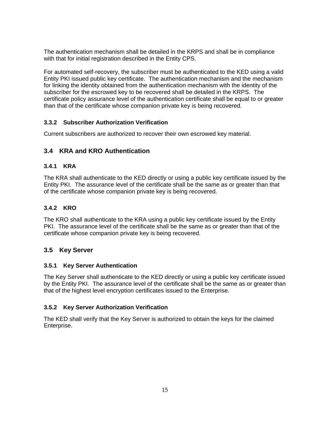<span id="page-20-0"></span>The authentication mechanism shall be detailed in the KRPS and shall be in compliance with that for initial registration described in the Entity CPS.

For automated self-recovery, the subscriber must be authenticated to the KED using a valid Entity PKI issued public key certificate. The authentication mechanism and the mechanism for linking the identity obtained from the authentication mechanism with the identity of the subscriber for the escrowed key to be recovered shall be detailed in the KRPS. The certificate policy assurance level of the authentication certificate shall be equal to or greater than that of the certificate whose companion private key is being recovered.

#### **3.3.2 Subscriber Authorization Verification**

Current subscribers are authorized to recover their own escrowed key material.

# **3.4 KRA and KRO Authentication**

#### **3.4.1 KRA**

The KRA shall authenticate to the KED directly or using a public key certificate issued by the Entity PKI. The assurance level of the certificate shall be the same as or greater than that of the certificate whose companion private key is being recovered.

#### **3.4.2 KRO**

The KRO shall authenticate to the KRA using a public key certificate issued by the Entity PKI. The assurance level of the certificate shall be the same as or greater than that of the certificate whose companion private key is being recovered.

#### **3.5 Key Server**

#### **3.5.1 Key Server Authentication**

The Key Server shall authenticate to the KED directly or using a public key certificate issued by the Entity PKI. The assurance level of the certificate shall be the same as or greater than that of the highest level encryption certificates issued to the Enterprise.

#### **3.5.2 Key Server Authorization Verification**

The KED shall verify that the Key Server is authorized to obtain the keys for the claimed Enterprise.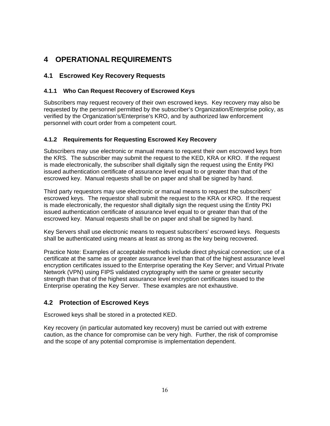# <span id="page-21-0"></span>**4 OPERATIONAL REQUIREMENTS**

# **4.1 Escrowed Key Recovery Requests**

#### **4.1.1 Who Can Request Recovery of Escrowed Keys**

Subscribers may request recovery of their own escrowed keys. Key recovery may also be requested by the personnel permitted by the subscriber's Organization/Enterprise policy, as verified by the Organization's/Enterprise's KRO, and by authorized law enforcement personnel with court order from a competent court.

#### **4.1.2 Requirements for Requesting Escrowed Key Recovery**

Subscribers may use electronic or manual means to request their own escrowed keys from the KRS. The subscriber may submit the request to the KED, KRA or KRO. If the request is made electronically, the subscriber shall digitally sign the request using the Entity PKI issued authentication certificate of assurance level equal to or greater than that of the escrowed key. Manual requests shall be on paper and shall be signed by hand.

Third party requestors may use electronic or manual means to request the subscribers' escrowed keys. The requestor shall submit the request to the KRA or KRO. If the request is made electronically, the requestor shall digitally sign the request using the Entity PKI issued authentication certificate of assurance level equal to or greater than that of the escrowed key. Manual requests shall be on paper and shall be signed by hand.

Key Servers shall use electronic means to request subscribers' escrowed keys. Requests shall be authenticated using means at least as strong as the key being recovered.

Practice Note: Examples of acceptable methods include direct physical connection; use of a certificate at the same as or greater assurance level than that of the highest assurance level encryption certificates issued to the Enterprise operating the Key Server; and Virtual Private Network (VPN) using FIPS validated cryptography with the same or greater security strength than that of the highest assurance level encryption certificates issued to the Enterprise operating the Key Server. These examples are not exhaustive.

# <span id="page-21-1"></span>**4.2 Protection of Escrowed Keys**

Escrowed keys shall be stored in a protected KED.

Key recovery (in particular automated key recovery) must be carried out with extreme caution, as the chance for compromise can be very high. Further, the risk of compromise and the scope of any potential compromise is implementation dependent.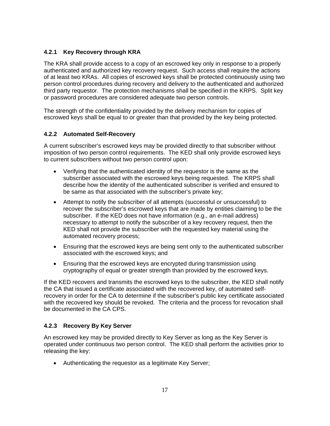#### <span id="page-22-0"></span>**4.2.1 Key Recovery through KRA**

The KRA shall provide access to a copy of an escrowed key only in response to a properly authenticated and authorized key recovery request. Such access shall require the actions of at least two KRAs. All copies of escrowed keys shall be protected continuously using two person control procedures during recovery and delivery to the authenticated and authorized third party requestor. The protection mechanisms shall be specified in the KRPS. Split key or password procedures are considered adequate two person controls.

The strength of the confidentiality provided by the delivery mechanism for copies of escrowed keys shall be equal to or greater than that provided by the key being protected.

#### **4.2.2 Automated Self-Recovery**

A current subscriber's escrowed keys may be provided directly to that subscriber without imposition of two person control requirements. The KED shall only provide escrowed keys to current subscribers without two person control upon:

- Verifying that the authenticated identity of the requestor is the same as the subscriber associated with the escrowed keys being requested. The KRPS shall describe how the identity of the authenticated subscriber is verified and ensured to be same as that associated with the subscriber's private key;
- Attempt to notify the subscriber of all attempts (successful or unsuccessful) to recover the subscriber's escrowed keys that are made by entities claiming to be the subscriber. If the KED does not have information (e.g., an e-mail address) necessary to attempt to notify the subscriber of a key recovery request, then the KED shall not provide the subscriber with the requested key material using the automated recovery process;
- Ensuring that the escrowed keys are being sent only to the authenticated subscriber associated with the escrowed keys; and
- Ensuring that the escrowed keys are encrypted during transmission using cryptography of equal or greater strength than provided by the escrowed keys.

If the KED recovers and transmits the escrowed keys to the subscriber, the KED shall notify the CA that issued a certificate associated with the recovered key, of automated selfrecovery in order for the CA to determine if the subscriber's public key certificate associated with the recovered key should be revoked. The criteria and the process for revocation shall be documented in the CA CPS.

# **4.2.3 Recovery By Key Server**

An escrowed key may be provided directly to Key Server as long as the Key Server is operated under continuous two person control. The KED shall perform the activities prior to releasing the key:

• Authenticating the requestor as a legitimate Key Server;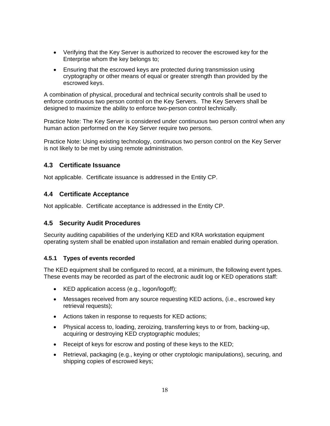- <span id="page-23-0"></span>• Verifying that the Key Server is authorized to recover the escrowed key for the Enterprise whom the key belongs to;
- Ensuring that the escrowed keys are protected during transmission using cryptography or other means of equal or greater strength than provided by the escrowed keys.

A combination of physical, procedural and technical security controls shall be used to enforce continuous two person control on the Key Servers. The Key Servers shall be designed to maximize the ability to enforce two-person control technically.

Practice Note: The Key Server is considered under continuous two person control when any human action performed on the Key Server require two persons.

Practice Note: Using existing technology, continuous two person control on the Key Server is not likely to be met by using remote administration.

#### **4.3 Certificate Issuance**

Not applicable. Certificate issuance is addressed in the Entity CP.

#### **4.4 Certificate Acceptance**

Not applicable. Certificate acceptance is addressed in the Entity CP.

# <span id="page-23-1"></span>**4.5 Security Audit Procedures**

Security auditing capabilities of the underlying KED and KRA workstation equipment operating system shall be enabled upon installation and remain enabled during operation.

#### **4.5.1 Types of events recorded**

The KED equipment shall be configured to record, at a minimum, the following event types. These events may be recorded as part of the electronic audit log or KED operations staff:

- KED application access (e.g., logon/logoff);
- Messages received from any source requesting KED actions, (i.e., escrowed key retrieval requests);
- Actions taken in response to requests for KED actions;
- Physical access to, loading, zeroizing, transferring keys to or from, backing-up, acquiring or destroying KED cryptographic modules;
- Receipt of keys for escrow and posting of these keys to the KED;
- Retrieval, packaging (e.g., keying or other cryptologic manipulations), securing, and shipping copies of escrowed keys;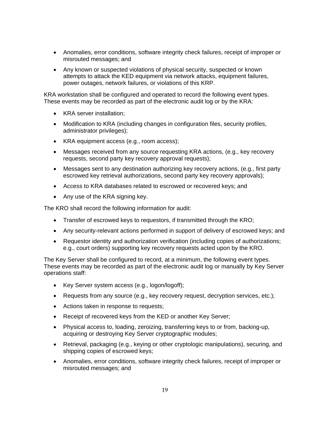- Anomalies, error conditions, software integrity check failures, receipt of improper or misrouted messages; and
- Any known or suspected violations of physical security, suspected or known attempts to attack the KED equipment via network attacks, equipment failures, power outages, network failures, or violations of this KRP.

KRA workstation shall be configured and operated to record the following event types. These events may be recorded as part of the electronic audit log or by the KRA:

- KRA server installation;
- Modification to KRA (including changes in configuration files, security profiles, administrator privileges);
- KRA equipment access (e.g., room access);
- Messages received from any source requesting KRA actions, (e.g., key recovery requests, second party key recovery approval requests);
- Messages sent to any destination authorizing key recovery actions, (e.g., first party escrowed key retrieval authorizations, second party key recovery approvals);
- Access to KRA databases related to escrowed or recovered keys; and
- Any use of the KRA signing key.

The KRO shall record the following information for audit:

- Transfer of escrowed keys to requestors, if transmitted through the KRO;
- Any security-relevant actions performed in support of delivery of escrowed keys; and
- Requestor identity and authorization verification (including copies of authorizations; e.g., court orders) supporting key recovery requests acted upon by the KRO.

The Key Server shall be configured to record, at a minimum, the following event types. These events may be recorded as part of the electronic audit log or manually by Key Server operations staff:

- Key Server system access (e.g., logon/logoff);
- Requests from any source (e.g., key recovery request, decryption services, etc.);
- Actions taken in response to requests;
- Receipt of recovered keys from the KED or another Key Server;
- Physical access to, loading, zeroizing, transferring keys to or from, backing-up, acquiring or destroying Key Server cryptographic modules;
- Retrieval, packaging (e.g., keying or other cryptologic manipulations), securing, and shipping copies of escrowed keys;
- Anomalies, error conditions, software integrity check failures, receipt of improper or misrouted messages; and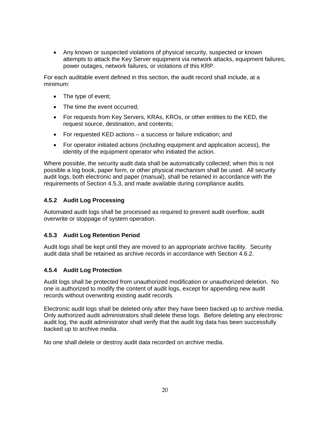<span id="page-25-0"></span>• Any known or suspected violations of physical security, suspected or known attempts to attack the Key Server equipment via network attacks, equipment failures, power outages, network failures, or violations of this KRP.

For each auditable event defined in this section, the audit record shall include, at a minimum:

- The type of event;
- The time the event occurred;
- For requests from Key Servers, KRAs, KROs, or other entities to the KED, the request source, destination, and contents;
- For requested KED actions a success or failure indication; and
- For operator initiated actions (including equipment and application access), the identity of the equipment operator who initiated the action.

Where possible, the security audit data shall be automatically collected; when this is not possible a log book, paper form, or other physical mechanism shall be used. All security audit logs, both electronic and paper (manual), shall be retained in accordance with the requirements of Section [4.5.3](#page-25-1), and made available during compliance audits.

#### **4.5.2 Audit Log Processing**

Automated audit logs shall be processed as required to prevent audit overflow, audit overwrite or stoppage of system operation.

#### <span id="page-25-1"></span>**4.5.3 Audit Log Retention Period**

Audit logs shall be kept until they are moved to an appropriate archive facility. Security audit data shall be retained as archive records in accordance with Section [4.6.2](#page-27-1).

#### **4.5.4 Audit Log Protection**

Audit logs shall be protected from unauthorized modification or unauthorized deletion. No one is authorized to modify the content of audit logs, except for appending new audit records without overwriting existing audit records.

Electronic audit logs shall be deleted only after they have been backed up to archive media. Only authorized audit administrators shall delete these logs. Before deleting any electronic audit log, the audit administrator shall verify that the audit log data has been successfully backed up to archive media.

No one shall delete or destroy audit data recorded on archive media.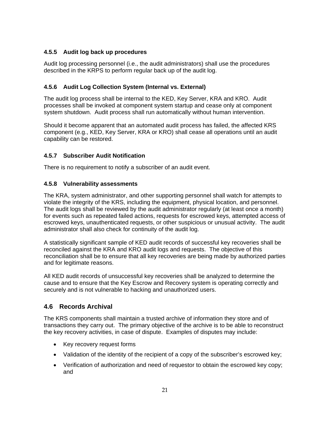# <span id="page-26-0"></span>**4.5.5 Audit log back up procedures**

Audit log processing personnel (i.e., the audit administrators) shall use the procedures described in the KRPS to perform regular back up of the audit log.

#### **4.5.6 Audit Log Collection System (Internal vs. External)**

The audit log process shall be internal to the KED, Key Server, KRA and KRO. Audit processes shall be invoked at component system startup and cease only at component system shutdown. Audit process shall run automatically without human intervention.

Should it become apparent that an automated audit process has failed, the affected KRS component (e.g., KED, Key Server, KRA or KRO) shall cease all operations until an audit capability can be restored.

#### **4.5.7 Subscriber Audit Notification**

There is no requirement to notify a subscriber of an audit event.

#### **4.5.8 Vulnerability assessments**

The KRA, system administrator, and other supporting personnel shall watch for attempts to violate the integrity of the KRS, including the equipment, physical location, and personnel. The audit logs shall be reviewed by the audit administrator regularly (at least once a month) for events such as repeated failed actions, requests for escrowed keys, attempted access of escrowed keys, unauthenticated requests, or other suspicious or unusual activity. The audit administrator shall also check for continuity of the audit log.

A statistically significant sample of KED audit records of successful key recoveries shall be reconciled against the KRA and KRO audit logs and requests. The objective of this reconciliation shall be to ensure that all key recoveries are being made by authorized parties and for legitimate reasons.

All KED audit records of unsuccessful key recoveries shall be analyzed to determine the cause and to ensure that the Key Escrow and Recovery system is operating correctly and securely and is not vulnerable to hacking and unauthorized users.

#### <span id="page-26-1"></span>**4.6 Records Archival**

The KRS components shall maintain a trusted archive of information they store and of transactions they carry out. The primary objective of the archive is to be able to reconstruct the key recovery activities, in case of dispute. Examples of disputes may include:

- Key recovery request forms
- Validation of the identity of the recipient of a copy of the subscriber's escrowed key;
- Verification of authorization and need of requestor to obtain the escrowed key copy; and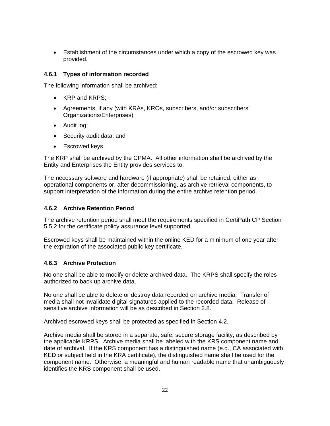<span id="page-27-0"></span>• Establishment of the circumstances under which a copy of the escrowed key was provided.

#### **4.6.1 Types of information recorded**

The following information shall be archived:

- KRP and KRPS;
- Agreements, if any (with KRAs, KROs, subscribers, and/or subscribers' Organizations/Enterprises)
- Audit log;
- Security audit data; and
- Escrowed keys.

The KRP shall be archived by the CPMA. All other information shall be archived by the Entity and Enterprises the Entity provides services to.

The necessary software and hardware (if appropriate) shall be retained, either as operational components or, after decommissioning, as archive retrieval components, to support interpretation of the information during the entire archive retention period.

#### <span id="page-27-1"></span>**4.6.2 Archive Retention Period**

The archive retention period shall meet the requirements specified in CertiPath CP Section 5.5.2 for the certificate policy assurance level supported.

Escrowed keys shall be maintained within the online KED for a minimum of one year after the expiration of the associated public key certificate.

#### **4.6.3 Archive Protection**

No one shall be able to modify or delete archived data. The KRPS shall specify the roles authorized to back up archive data.

No one shall be able to delete or destroy data recorded on archive media. Transfer of media shall not invalidate digital signatures applied to the recorded data. Release of sensitive archive information will be as described in Section [2.8](#page-17-2).

Archived escrowed keys shall be protected as specified in Section [4.2](#page-21-1).

Archive media shall be stored in a separate, safe, secure storage facility, as described by the applicable KRPS. Archive media shall be labeled with the KRS component name and date of archival. If the KRS component has a distinguished name (e.g., CA associated with KED or subject field in the KRA certificate), the distinguished name shall be used for the component name. Otherwise, a meaningful and human readable name that unambiguously identifies the KRS component shall be used.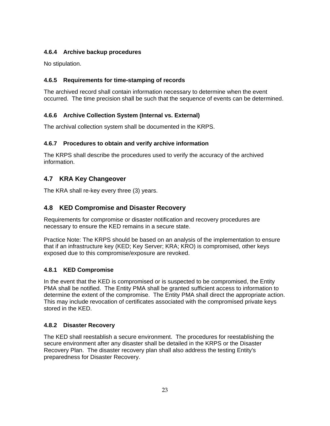# <span id="page-28-0"></span>**4.6.4 Archive backup procedures**

No stipulation.

# **4.6.5 Requirements for time-stamping of records**

The archived record shall contain information necessary to determine when the event occurred. The time precision shall be such that the sequence of events can be determined.

# **4.6.6 Archive Collection System (Internal vs. External)**

The archival collection system shall be documented in the KRPS.

# **4.6.7 Procedures to obtain and verify archive information**

The KRPS shall describe the procedures used to verify the accuracy of the archived information.

# **4.7 KRA Key Changeover**

The KRA shall re-key every three (3) years.

# **4.8 KED Compromise and Disaster Recovery**

Requirements for compromise or disaster notification and recovery procedures are necessary to ensure the KED remains in a secure state.

Practice Note: The KRPS should be based on an analysis of the implementation to ensure that if an infrastructure key (KED; Key Server; KRA; KRO) is compromised, other keys exposed due to this compromise/exposure are revoked.

# **4.8.1 KED Compromise**

In the event that the KED is compromised or is suspected to be compromised, the Entity PMA shall be notified. The Entity PMA shall be granted sufficient access to information to determine the extent of the compromise. The Entity PMA shall direct the appropriate action. This may include revocation of certificates associated with the compromised private keys stored in the KED.

# **4.8.2 Disaster Recovery**

The KED shall reestablish a secure environment. The procedures for reestablishing the secure environment after any disaster shall be detailed in the KRPS or the Disaster Recovery Plan. The disaster recovery plan shall also address the testing Entity's preparedness for Disaster Recovery.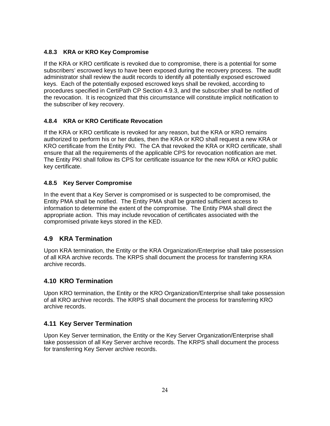#### <span id="page-29-0"></span>**4.8.3 KRA or KRO Key Compromise**

If the KRA or KRO certificate is revoked due to compromise, there is a potential for some subscribers' escrowed keys to have been exposed during the recovery process. The audit administrator shall review the audit records to identify all potentially exposed escrowed keys. Each of the potentially exposed escrowed keys shall be revoked, according to procedures specified in CertiPath CP Section 4.9.3, and the subscriber shall be notified of the revocation. It is recognized that this circumstance will constitute implicit notification to the subscriber of key recovery.

# **4.8.4 KRA or KRO Certificate Revocation**

If the KRA or KRO certificate is revoked for any reason, but the KRA or KRO remains authorized to perform his or her duties, then the KRA or KRO shall request a new KRA or KRO certificate from the Entity PKI. The CA that revoked the KRA or KRO certificate, shall ensure that all the requirements of the applicable CPS for revocation notification are met. The Entity PKI shall follow its CPS for certificate issuance for the new KRA or KRO public key certificate.

#### **4.8.5 Key Server Compromise**

In the event that a Key Server is compromised or is suspected to be compromised, the Entity PMA shall be notified. The Entity PMA shall be granted sufficient access to information to determine the extent of the compromise. The Entity PMA shall direct the appropriate action. This may include revocation of certificates associated with the compromised private keys stored in the KED.

# **4.9 KRA Termination**

Upon KRA termination, the Entity or the KRA Organization/Enterprise shall take possession of all KRA archive records. The KRPS shall document the process for transferring KRA archive records.

# **4.10 KRO Termination**

Upon KRO termination, the Entity or the KRO Organization/Enterprise shall take possession of all KRO archive records. The KRPS shall document the process for transferring KRO archive records.

# **4.11 Key Server Termination**

Upon Key Server termination, the Entity or the Key Server Organization/Enterprise shall take possession of all Key Server archive records. The KRPS shall document the process for transferring Key Server archive records.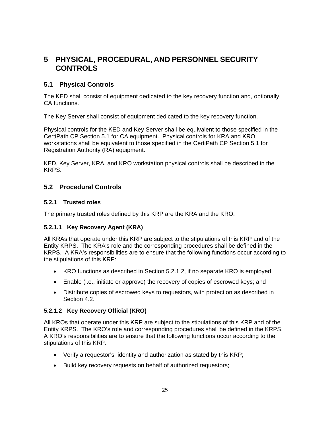# <span id="page-30-0"></span>**5 PHYSICAL, PROCEDURAL, AND PERSONNEL SECURITY CONTROLS**

# <span id="page-30-2"></span>**5.1 Physical Controls**

The KED shall consist of equipment dedicated to the key recovery function and, optionally, CA functions.

The Key Server shall consist of equipment dedicated to the key recovery function.

Physical controls for the KED and Key Server shall be equivalent to those specified in the CertiPath CP Section 5.1 for CA equipment. Physical controls for KRA and KRO workstations shall be equivalent to those specified in the CertiPath CP Section 5.1 for Registration Authority (RA) equipment.

KED, Key Server, KRA, and KRO workstation physical controls shall be described in the KRPS.

#### **5.2 Procedural Controls**

#### **5.2.1 Trusted roles**

The primary trusted roles defined by this KRP are the KRA and the KRO.

#### **5.2.1.1 Key Recovery Agent (KRA)**

All KRAs that operate under this KRP are subject to the stipulations of this KRP and of the Entity KRPS. The KRA's role and the corresponding procedures shall be defined in the KRPS. A KRA's responsibilities are to ensure that the following functions occur according to the stipulations of this KRP:

- KRO functions as described in Section [5.2.1.2,](#page-30-1) if no separate KRO is employed;
- Enable (i.e., initiate or approve) the recovery of copies of escrowed keys; and
- Distribute copies of escrowed keys to requestors, with protection as described in Section [4.2](#page-21-1).

#### <span id="page-30-1"></span>**5.2.1.2 Key Recovery Official (KRO)**

All KROs that operate under this KRP are subject to the stipulations of this KRP and of the Entity KRPS. The KRO's role and corresponding procedures shall be defined in the KRPS. A KRO's responsibilities are to ensure that the following functions occur according to the stipulations of this KRP:

- Verify a requestor's identity and authorization as stated by this KRP;
- Build key recovery requests on behalf of authorized requestors;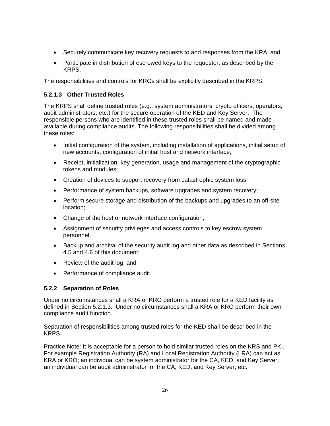- <span id="page-31-0"></span>• Securely communicate key recovery requests to and responses from the KRA; and
- Participate in distribution of escrowed keys to the requestor, as described by the KRPS.

The responsibilities and controls for KROs shall be explicitly described in the KRPS.

#### <span id="page-31-1"></span>**5.2.1.3 Other Trusted Roles**

The KRPS shall define trusted roles (e.g., system administrators, crypto officers, operators, audit administrators, etc.) for the secure operation of the KED and Key Server. The responsible persons who are identified in these trusted roles shall be named and made available during compliance audits. The following responsibilities shall be divided among these roles:

- Initial configuration of the system, including installation of applications, initial setup of new accounts, configuration of initial host and network interface;
- Receipt, initialization, key generation, usage and management of the cryptographic tokens and modules;
- Creation of devices to support recovery from catastrophic system loss;
- Performance of system backups, software upgrades and system recovery;
- Perform secure storage and distribution of the backups and upgrades to an off-site location;
- Change of the host or network interface configuration;
- Assignment of security privileges and access controls to key escrow system personnel;
- Backup and archival of the security audit log and other data as described in Sections [4.5](#page-23-1) and [4.6](#page-26-1) of this document;
- Review of the audit log; and
- Performance of compliance audit.

# **5.2.2 Separation of Roles**

Under no circumstances shall a KRA or KRO perform a trusted role for a KED facility as defined in Section [5.2.1.3.](#page-31-1) Under no circumstances shall a KRA or KRO perform their own compliance audit function.

Separation of responsibilities among trusted roles for the KED shall be described in the KRPS.

Practice Note: It is acceptable for a person to hold similar trusted roles on the KRS and PKI. For example Registration Authority (RA) and Local Registration Authority (LRA) can act as KRA or KRO; an individual can be system administrator for the CA, KED, and Key Server; an individual can be audit administrator for the CA, KED, and Key Server; etc.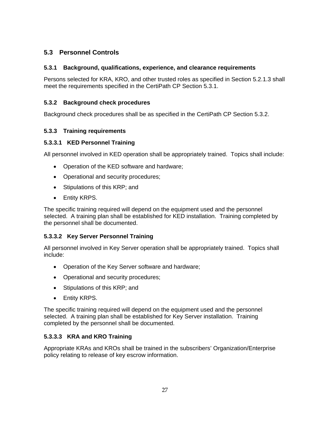# <span id="page-32-0"></span>**5.3 Personnel Controls**

#### **5.3.1 Background, qualifications, experience, and clearance requirements**

Persons selected for KRA, KRO, and other trusted roles as specified in Section [5.2.1.3](#page-31-1) shall meet the requirements specified in the CertiPath CP Section 5.3.1.

#### **5.3.2 Background check procedures**

Background check procedures shall be as specified in the CertiPath CP Section 5.3.2.

#### **5.3.3 Training requirements**

#### **5.3.3.1 KED Personnel Training**

All personnel involved in KED operation shall be appropriately trained. Topics shall include:

- Operation of the KED software and hardware;
- Operational and security procedures;
- Stipulations of this KRP; and
- Entity KRPS.

The specific training required will depend on the equipment used and the personnel selected. A training plan shall be established for KED installation. Training completed by the personnel shall be documented.

# **5.3.3.2 Key Server Personnel Training**

All personnel involved in Key Server operation shall be appropriately trained. Topics shall include:

- Operation of the Key Server software and hardware;
- Operational and security procedures;
- Stipulations of this KRP; and
- Entity KRPS.

The specific training required will depend on the equipment used and the personnel selected. A training plan shall be established for Key Server installation. Training completed by the personnel shall be documented.

#### **5.3.3.3 KRA and KRO Training**

Appropriate KRAs and KROs shall be trained in the subscribers' Organization/Enterprise policy relating to release of key escrow information.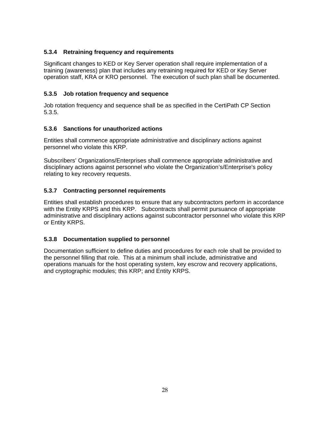#### <span id="page-33-0"></span>**5.3.4 Retraining frequency and requirements**

Significant changes to KED or Key Server operation shall require implementation of a training (awareness) plan that includes any retraining required for KED or Key Server operation staff, KRA or KRO personnel. The execution of such plan shall be documented.

#### **5.3.5 Job rotation frequency and sequence**

Job rotation frequency and sequence shall be as specified in the CertiPath CP Section 5.3.5.

#### **5.3.6 Sanctions for unauthorized actions**

Entities shall commence appropriate administrative and disciplinary actions against personnel who violate this KRP.

Subscribers' Organizations/Enterprises shall commence appropriate administrative and disciplinary actions against personnel who violate the Organization's/Enterprise's policy relating to key recovery requests.

#### **5.3.7 Contracting personnel requirements**

Entities shall establish procedures to ensure that any subcontractors perform in accordance with the Entity KRPS and this KRP. Subcontracts shall permit pursuance of appropriate administrative and disciplinary actions against subcontractor personnel who violate this KRP or Entity KRPS.

#### **5.3.8 Documentation supplied to personnel**

Documentation sufficient to define duties and procedures for each role shall be provided to the personnel filling that role. This at a minimum shall include, administrative and operations manuals for the host operating system, key escrow and recovery applications, and cryptographic modules; this KRP; and Entity KRPS.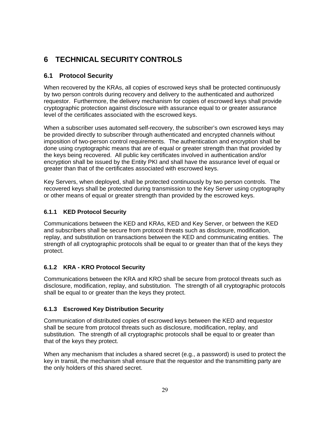# <span id="page-34-0"></span>**6 TECHNICAL SECURITY CONTROLS**

# **6.1 Protocol Security**

When recovered by the KRAs, all copies of escrowed keys shall be protected continuously by two person controls during recovery and delivery to the authenticated and authorized requestor. Furthermore, the delivery mechanism for copies of escrowed keys shall provide cryptographic protection against disclosure with assurance equal to or greater assurance level of the certificates associated with the escrowed keys.

When a subscriber uses automated self-recovery, the subscriber's own escrowed keys may be provided directly to subscriber through authenticated and encrypted channels without imposition of two-person control requirements. The authentication and encryption shall be done using cryptographic means that are of equal or greater strength than that provided by the keys being recovered. All public key certificates involved in authentication and/or encryption shall be issued by the Entity PKI and shall have the assurance level of equal or greater than that of the certificates associated with escrowed keys.

Key Servers, when deployed, shall be protected continuously by two person controls. The recovered keys shall be protected during transmission to the Key Server using cryptography or other means of equal or greater strength than provided by the escrowed keys.

# **6.1.1 KED Protocol Security**

Communications between the KED and KRAs, KED and Key Server, or between the KED and subscribers shall be secure from protocol threats such as disclosure, modification, replay, and substitution on transactions between the KED and communicating entities. The strength of all cryptographic protocols shall be equal to or greater than that of the keys they protect.

# **6.1.2 KRA - KRO Protocol Security**

Communications between the KRA and KRO shall be secure from protocol threats such as disclosure, modification, replay, and substitution. The strength of all cryptographic protocols shall be equal to or greater than the keys they protect.

# **6.1.3 Escrowed Key Distribution Security**

Communication of distributed copies of escrowed keys between the KED and requestor shall be secure from protocol threats such as disclosure, modification, replay, and substitution. The strength of all cryptographic protocols shall be equal to or greater than that of the keys they protect.

When any mechanism that includes a shared secret (e.g., a password) is used to protect the key in transit, the mechanism shall ensure that the requestor and the transmitting party are the only holders of this shared secret.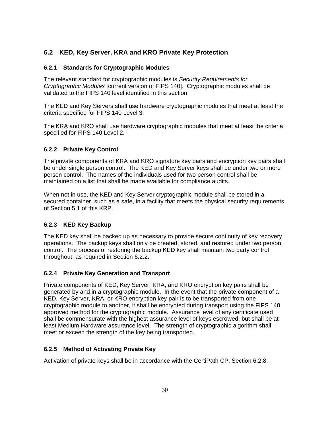# <span id="page-35-0"></span>**6.2 KED, Key Server, KRA and KRO Private Key Protection**

#### <span id="page-35-2"></span>**6.2.1 Standards for Cryptographic Modules**

The relevant standard for cryptographic modules is *Security Requirements for Cryptographic Modules* [current version of FIPS 140]. Cryptographic modules shall be validated to the FIPS 140 level identified in this section.

The KED and Key Servers shall use hardware cryptographic modules that meet at least the criteria specified for FIPS 140 Level 3.

The KRA and KRO shall use hardware cryptographic modules that meet at least the criteria specified for FIPS 140 Level 2.

#### <span id="page-35-1"></span>**6.2.2 Private Key Control**

The private components of KRA and KRO signature key pairs and encryption key pairs shall be under single person control. The KED and Key Server keys shall be under two or more person control. The names of the individuals used for two person control shall be maintained on a list that shall be made available for compliance audits.

When not in use, the KED and Key Server cryptographic module shall be stored in a secured container, such as a safe, in a facility that meets the physical security requirements of Section [5.1](#page-30-2) of this KRP.

#### **6.2.3 KED Key Backup**

The KED key shall be backed up as necessary to provide secure continuity of key recovery operations. The backup keys shall only be created, stored, and restored under two person control. The process of restoring the backup KED key shall maintain two party control throughout, as required in Section [6.2.2](#page-35-1).

#### **6.2.4 Private Key Generation and Transport**

Private components of KED, Key Server, KRA, and KRO encryption key pairs shall be generated by and in a cryptographic module. In the event that the private component of a KED, Key Server, KRA, or KRO encryption key pair is to be transported from one cryptographic module to another, it shall be encrypted during transport using the FIPS 140 approved method for the cryptographic module. Assurance level of any certificate used shall be commensurate with the highest assurance level of keys escrowed, but shall be at least Medium Hardware assurance level. The strength of cryptographic algorithm shall meet or exceed the strength of the key being transported.

#### **6.2.5 Method of Activating Private Key**

Activation of private keys shall be in accordance with the CertiPath CP, Section 6.2.8.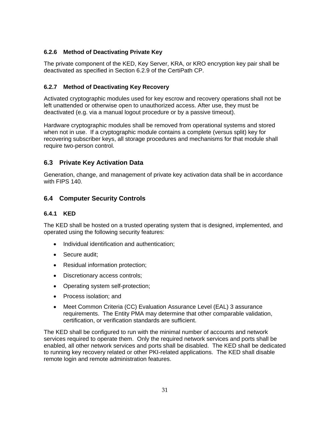#### <span id="page-36-0"></span>**6.2.6 Method of Deactivating Private Key**

The private component of the KED, Key Server, KRA, or KRO encryption key pair shall be deactivated as specified in Section 6.2.9 of the CertiPath CP.

#### **6.2.7 Method of Deactivating Key Recovery**

Activated cryptographic modules used for key escrow and recovery operations shall not be left unattended or otherwise open to unauthorized access. After use, they must be deactivated (e.g. via a manual logout procedure or by a passive timeout).

Hardware cryptographic modules shall be removed from operational systems and stored when not in use. If a cryptographic module contains a complete (versus split) key for recovering subscriber keys, all storage procedures and mechanisms for that module shall require two-person control.

# **6.3 Private Key Activation Data**

Generation, change, and management of private key activation data shall be in accordance with FIPS 140.

# **6.4 Computer Security Controls**

#### <span id="page-36-1"></span>**6.4.1 KED**

The KED shall be hosted on a trusted operating system that is designed, implemented, and operated using the following security features:

- Individual identification and authentication;
- Secure audit:
- Residual information protection;
- Discretionary access controls;
- Operating system self-protection;
- Process isolation; and
- Meet Common Criteria (CC) Evaluation Assurance Level (EAL) 3 assurance requirements. The Entity PMA may determine that other comparable validation, certification, or verification standards are sufficient.

The KED shall be configured to run with the minimal number of accounts and network services required to operate them. Only the required network services and ports shall be enabled, all other network services and ports shall be disabled. The KED shall be dedicated to running key recovery related or other PKI-related applications. The KED shall disable remote login and remote administration features.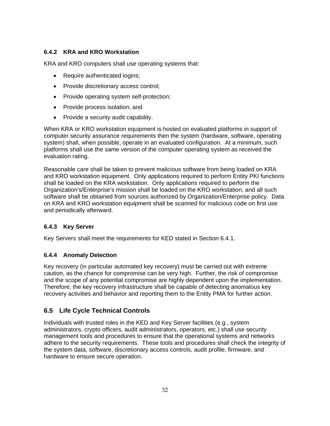# <span id="page-37-0"></span>**6.4.2 KRA and KRO Workstation**

KRA and KRO computers shall use operating systems that:

- Require authenticated logins;
- Provide discretionary access control;
- Provide operating system self-protection;
- Provide process isolation; and
- Provide a security audit capability.

When KRA or KRO workstation equipment is hosted on evaluated platforms in support of computer security assurance requirements then the system (hardware, software, operating system) shall, when possible, operate in an evaluated configuration. At a minimum, such platforms shall use the same version of the computer operating system as received the evaluation rating.

Reasonable care shall be taken to prevent malicious software from being loaded on KRA and KRO workstation equipment. Only applications required to perform Entity PKI functions shall be loaded on the KRA workstation. Only applications required to perform the Organization's/Enterprise's mission shall be loaded on the KRO workstation, and all such software shall be obtained from sources authorized by Organization/Enterprise policy. Data on KRA and KRO workstation equipment shall be scanned for malicious code on first use and periodically afterward.

# **6.4.3 Key Server**

Key Servers shall meet the requirements for KED stated in Section [6.4.1.](#page-36-1)

# **6.4.4 Anomaly Detection**

Key recovery (in particular automated key recovery) must be carried out with extreme caution, as the chance for compromise can be very high. Further, the risk of compromise and the scope of any potential compromise are highly dependent upon the implementation. Therefore, the key recovery infrastructure shall be capable of detecting anomalous key recovery activities and behavior and reporting them to the Entity PMA for further action.

# **6.5 Life Cycle Technical Controls**

Individuals with trusted roles in the KED and Key Server facilities (e.g., system administrators, crypto officers, audit administrators, operators, etc.) shall use security management tools and procedures to ensure that the operational systems and networks adhere to the security requirements. These tools and procedures shall check the integrity of the system data, software, discretionary access controls, audit profile, firmware, and hardware to ensure secure operation.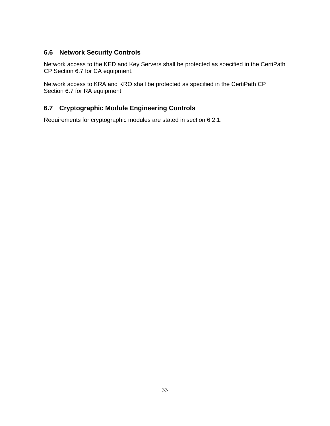# <span id="page-38-0"></span>**6.6 Network Security Controls**

Network access to the KED and Key Servers shall be protected as specified in the CertiPath CP Section 6.7 for CA equipment.

Network access to KRA and KRO shall be protected as specified in the CertiPath CP Section 6.7 for RA equipment.

# **6.7 Cryptographic Module Engineering Controls**

Requirements for cryptographic modules are stated in section [6.2.1.](#page-35-2)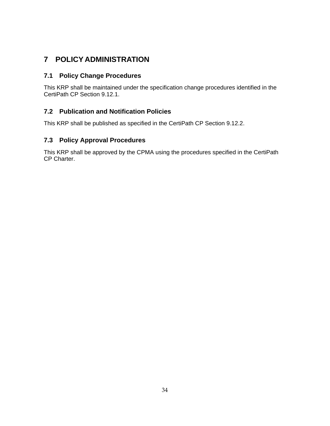# <span id="page-39-1"></span><span id="page-39-0"></span>**7 POLICY ADMINISTRATION**

# **7.1 Policy Change Procedures**

This KRP shall be maintained under the specification change procedures identified in the CertiPath CP Section 9.12.1.

# **7.2 Publication and Notification Policies**

This KRP shall be published as specified in the CertiPath CP Section 9.12.2.

# **7.3 Policy Approval Procedures**

This KRP shall be approved by the CPMA using the procedures specified in the CertiPath CP Charter.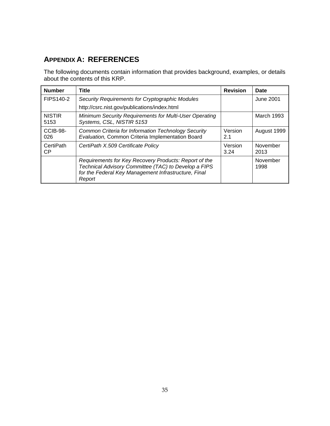# <span id="page-40-0"></span>**APPENDIX A: REFERENCES**

The following documents contain information that provides background, examples, or details about the contents of this KRP.

| <b>Number</b>                                                                                                                                | <b>Title</b>                                                                                                                                                                    | <b>Revision</b>   | <b>Date</b>      |
|----------------------------------------------------------------------------------------------------------------------------------------------|---------------------------------------------------------------------------------------------------------------------------------------------------------------------------------|-------------------|------------------|
| <b>FIPS140-2</b>                                                                                                                             | Security Requirements for Cryptographic Modules                                                                                                                                 |                   | June 2001        |
|                                                                                                                                              | http://csrc.nist.gov/publications/index.html                                                                                                                                    |                   |                  |
| Minimum Security Requirements for Multi-User Operating<br><b>NISTIR</b><br>Systems, CSL, NISTIR 5153<br>5153                                 |                                                                                                                                                                                 | <b>March 1993</b> |                  |
| CCIB-98-<br>Common Criteria for Information Technology Security<br>Version<br>Evaluation, Common Criteria Implementation Board<br>026<br>2.1 |                                                                                                                                                                                 | August 1999       |                  |
| CertiPath<br>CertiPath X.509 Certificate Policy<br><b>CP</b>                                                                                 |                                                                                                                                                                                 | Version<br>3.24   | November<br>2013 |
|                                                                                                                                              | Requirements for Key Recovery Products: Report of the<br>Technical Advisory Committee (TAC) to Develop a FIPS<br>for the Federal Key Management Infrastructure, Final<br>Report |                   | November<br>1998 |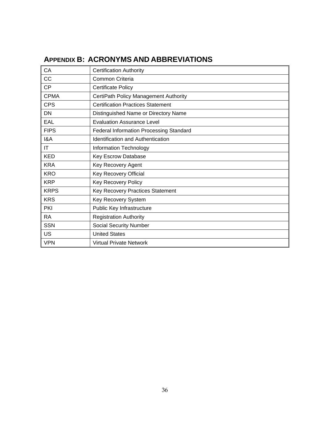<span id="page-41-0"></span>

| CA                     | <b>Certification Authority</b>                 |
|------------------------|------------------------------------------------|
| CC                     | Common Criteria                                |
| <b>CP</b>              | <b>Certificate Policy</b>                      |
| <b>CPMA</b>            | CertiPath Policy Management Authority          |
| <b>CPS</b>             | <b>Certification Practices Statement</b>       |
| <b>DN</b>              | Distinguished Name or Directory Name           |
| EAL                    | <b>Evaluation Assurance Level</b>              |
| <b>FIPS</b>            | <b>Federal Information Processing Standard</b> |
| 18A                    | <b>Identification and Authentication</b>       |
| $\mathsf{I}\mathsf{T}$ | Information Technology                         |
| <b>KED</b>             | Key Escrow Database                            |
| <b>KRA</b>             | Key Recovery Agent                             |
| <b>KRO</b>             | Key Recovery Official                          |
| <b>KRP</b>             | Key Recovery Policy                            |
| <b>KRPS</b>            | Key Recovery Practices Statement               |
| <b>KRS</b>             | Key Recovery System                            |
| PKI                    | Public Key Infrastructure                      |
| <b>RA</b>              | <b>Registration Authority</b>                  |
| <b>SSN</b>             | <b>Social Security Number</b>                  |
| US                     | <b>United States</b>                           |
| <b>VPN</b>             | <b>Virtual Private Network</b>                 |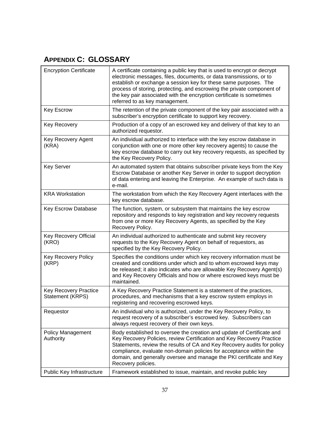# <span id="page-42-0"></span>**APPENDIX C: GLOSSARY**

| <b>Encryption Certificate</b>                    | A certificate containing a public key that is used to encrypt or decrypt<br>electronic messages, files, documents, or data transmissions, or to<br>establish or exchange a session key for these same purposes. The<br>process of storing, protecting, and escrowing the private component of<br>the key pair associated with the encryption certificate is sometimes<br>referred to as key management. |
|--------------------------------------------------|---------------------------------------------------------------------------------------------------------------------------------------------------------------------------------------------------------------------------------------------------------------------------------------------------------------------------------------------------------------------------------------------------------|
| <b>Key Escrow</b>                                | The retention of the private component of the key pair associated with a<br>subscriber's encryption certificate to support key recovery.                                                                                                                                                                                                                                                                |
| <b>Key Recovery</b>                              | Production of a copy of an escrowed key and delivery of that key to an<br>authorized requestor.                                                                                                                                                                                                                                                                                                         |
| Key Recovery Agent<br>(KRA)                      | An individual authorized to interface with the key escrow database in<br>conjunction with one or more other key recovery agents) to cause the<br>key escrow database to carry out key recovery requests, as specified by<br>the Key Recovery Policy.                                                                                                                                                    |
| <b>Key Server</b>                                | An automated system that obtains subscriber private keys from the Key<br>Escrow Database or another Key Server in order to support decryption<br>of data entering and leaving the Enterprise. An example of such data is<br>e-mail.                                                                                                                                                                     |
| <b>KRA Workstation</b>                           | The workstation from which the Key Recovery Agent interfaces with the<br>key escrow database.                                                                                                                                                                                                                                                                                                           |
| Key Escrow Database                              | The function, system, or subsystem that maintains the key escrow<br>repository and responds to key registration and key recovery requests<br>from one or more Key Recovery Agents, as specified by the Key<br>Recovery Policy.                                                                                                                                                                          |
| Key Recovery Official<br>(KRO)                   | An individual authorized to authenticate and submit key recovery<br>requests to the Key Recovery Agent on behalf of requestors, as<br>specified by the Key Recovery Policy.                                                                                                                                                                                                                             |
| Key Recovery Policy<br>(KRP)                     | Specifies the conditions under which key recovery information must be<br>created and conditions under which and to whom escrowed keys may<br>be released; it also indicates who are allowable Key Recovery Agent(s)<br>and Key Recovery Officials and how or where escrowed keys must be<br>maintained.                                                                                                 |
| <b>Key Recovery Practice</b><br>Statement (KRPS) | A Key Recovery Practice Statement is a statement of the practices,<br>procedures, and mechanisms that a key escrow system employs in<br>registering and recovering escrowed keys.                                                                                                                                                                                                                       |
| Requestor                                        | An individual who is authorized, under the Key Recovery Policy, to<br>request recovery of a subscriber's escrowed key. Subscribers can<br>always request recovery of their own keys.                                                                                                                                                                                                                    |
| <b>Policy Management</b><br>Authority            | Body established to oversee the creation and update of Certificate and<br>Key Recovery Policies, review Certification and Key Recovery Practice<br>Statements, review the results of CA and Key Recovery audits for policy<br>compliance, evaluate non-domain policies for acceptance within the<br>domain, and generally oversee and manage the PKI certificate and Key<br>Recovery policies.          |
| Public Key Infrastructure                        | Framework established to issue, maintain, and revoke public key                                                                                                                                                                                                                                                                                                                                         |